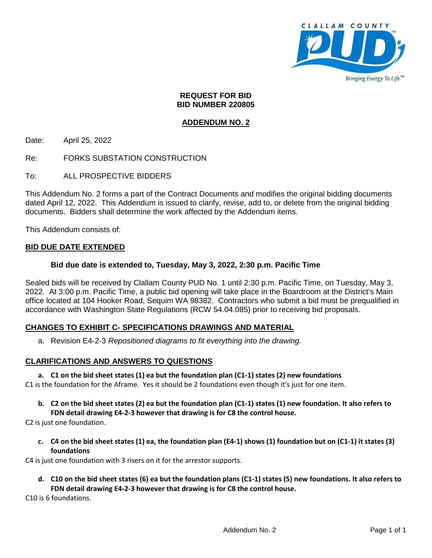

#### **REQUEST FOR BID BID NUMBER 220805**

# **ADDENDUM NO. 2**

Date: April 25, 2022

Re: FORKS SUBSTATION CONSTRUCTION

To: ALL PROSPECTIVE BIDDERS

This Addendum No. 2 forms a part of the Contract Documents and modifies the original bidding documents dated April 12, 2022. This Addendum is issued to clarify, revise, add to, or delete from the original bidding documents. Bidders shall determine the work affected by the Addendum items.

This Addendum consists of:

### **BID DUE DATE EXTENDED**

#### **Bid due date is extended to, Tuesday, May 3, 2022, 2:30 p.m. Pacific Time**

Sealed bids will be received by Clallam County PUD No. 1 until 2:30 p.m. Pacific Time, on Tuesday, May 3, 2022. At 3:00 p.m. Pacific Time, a public bid opening will take place in the Boardroom at the District's Main office located at 104 Hooker Road, Sequim WA 98382. Contractors who submit a bid must be prequalified in accordance with Washington State Regulations (RCW 54.04.085) prior to receiving bid proposals.

### **CHANGES TO EXHIBIT C- SPECIFICATIONS DRAWINGS AND MATERIAL**

a. Revision E4-2-3 *Repositioned diagrams to fit everything into the drawing.*

#### **CLARIFICATIONS AND ANSWERS TO QUESTIONS**

#### **a. C1 on the bid sheet states (1) ea but the foundation plan (C1-1) states (2) new foundations**

C1 is the foundation for the Aframe. Yes it should be 2 foundations even though it's just for one item.

**b. C2 on the bid sheet states (2) ea but the foundation plan (C1-1) states (1) new foundation. It also refers to FDN detail drawing E4-2-3 however that drawing is for C8 the control house.**

C2 is just one foundation.

**c. C4 on the bid sheet states (1) ea, the foundation plan (E4-1) shows (1) foundation but on (C1-1) it states (3) foundations**

C4 is just one foundation with 3 risers on it for the arrestor supports.

**d. C10 on the bid sheet states (6) ea but the foundation plans (C1-1) states (5) new foundations. It also refers to FDN detail drawing E4-2-3 however that drawing is for C8 the control house.**

C10 is 6 foundations.